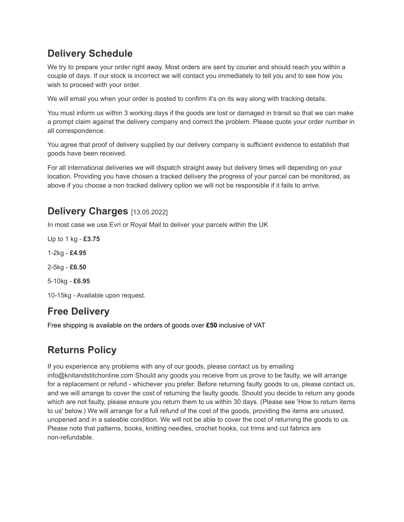## **Delivery Schedule**

We try to prepare your order right away. Most orders are sent by courier and should reach you within a couple of days. If our stock is incorrect we will contact you immediately to tell you and to see how you wish to proceed with your order.

We will email you when your order is posted to confirm it's on its way along with tracking details.

You must inform us within 3 working days if the goods are lost or damaged in transit so that we can make a prompt claim against the delivery company and correct the problem. Please quote your order number in all correspondence.

You agree that proof of delivery supplied by our delivery company is sufficient evidence to establish that goods have been received.

For all international deliveries we will dispatch straight away but delivery times will depending on your location. Providing you have chosen a tracked delivery the progress of your parcel can be monitored, as above if you choose a non tracked delivery option we will not be responsible if it fails to arrive.

## **Delivery Charges** [13.05.2022]

In most case we use Evri or Royal Mail to deliver your parcels within the UK

Up to 1 kg - **£3.75**

1-2kg - **£4.95**

2-5kg - **£6.50**

5-10kg - **£6.95**

10-15kg - Available upon request.

## **Free Delivery**

Free shipping is available on the orders of goods over **£50** inclusive of VAT

# **Returns Policy**

If you experience any problems with any of our goods, please contact us by emailing info@knitandstitchonline.com Should any goods you receive from us prove to be faulty, we will arrange for a replacement or refund - whichever you prefer. Before returning faulty goods to us, please contact us, and we will arrange to cover the cost of returning the faulty goods. Should you decide to return any goods which are not faulty, please ensure you return them to us within 30 days. (Please see 'How to return items to us' below.) We will arrange for a full refund of the cost of the goods, providing the items are unused, unopened and in a saleable condition. We will not be able to cover the cost of returning the goods to us. Please note that patterns, books, knitting needles, crochet hooks, cut trims and cut fabrics are non-refundable.